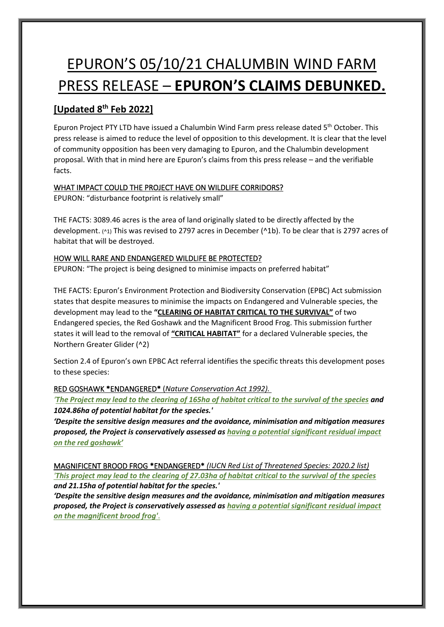# EPURON'S 05/10/21 CHALUMBIN WIND FARM PRESS RELEASE – **EPURON'S CLAIMS DEBUNKED.**

# **[Updated 8th Feb 2022]**

Epuron Project PTY LTD have issued a Chalumbin Wind Farm press release dated 5<sup>th</sup> October. This press release is aimed to reduce the level of opposition to this development. It is clear that the level of community opposition has been very damaging to Epuron, and the Chalumbin development proposal. With that in mind here are Epuron's claims from this press release – and the verifiable facts.

# WHAT IMPACT COULD THE PROJECT HAVE ON WILDLIFE CORRIDORS?

EPURON: "disturbance footprint is relatively small"

THE FACTS: 3089.46 acres is the area of land originally slated to be directly affected by the development. (^1) This was revised to 2797 acres in December (^1b). To be clear that is 2797 acres of habitat that will be destroyed.

# HOW WILL RARE AND ENDANGERED WILDLIFE BE PROTECTED?

EPURON: "The project is being designed to minimise impacts on preferred habitat"

THE FACTS: Epuron's Environment Protection and Biodiversity Conservation (EPBC) Act submission states that despite measures to minimise the impacts on Endangered and Vulnerable species, the development may lead to the **"CLEARING OF HABITAT CRITICAL TO THE SURVIVAL"** of two Endangered species, the Red Goshawk and the Magnificent Brood Frog. This submission further states it will lead to the removal of **"CRITICAL HABITAT"** for a declared Vulnerable species, the Northern Greater Glider (^2)

Section 2.4 of Epuron's own EPBC Act referral identifies the specific threats this development poses to these species:

# RED GOSHAWK \*ENDANGERED\* (*Nature Conservation Act 1992).*

*'The Project may lead to the clearing of 165ha of habitat critical to the survival of the species and 1024.86ha of potential habitat for the species.'*

*'Despite the sensitive design measures and the avoidance, minimisation and mitigation measures proposed, the Project is conservatively assessed as having a potential significant residual impact on the red goshawk'*

MAGNIFICENT BROOD FROG \*ENDANGERED\* *(IUCN Red List of Threatened Species: 2020.2 list) 'This project may lead to the clearing of 27.03ha of habitat critical to the survival of the species and 21.15ha of potential habitat for the species.'*

*'Despite the sensitive design measures and the avoidance, minimisation and mitigation measures proposed, the Project is conservatively assessed as having a potential significant residual impact on the magnificent brood frog'*.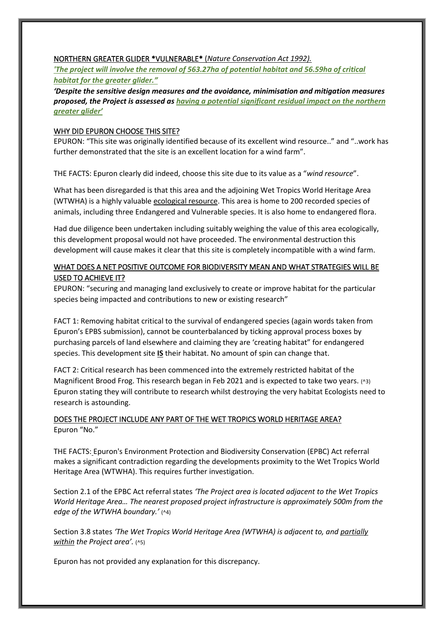#### NORTHERN GREATER GLIDER \*VULNERABLE\* (*Nature Conservation Act 1992).*

*'The project will involve the removal of 563.27ha of potential habitat and 56.59ha of critical habitat for the greater glider."*

*'Despite the sensitive design measures and the avoidance, minimisation and mitigation measures proposed, the Project is assessed as having a potential significant residual impact on the northern greater glider'*

#### WHY DID EPURON CHOOSE THIS SITE?

EPURON: "This site was originally identified because of its excellent wind resource.." and "..work has further demonstrated that the site is an excellent location for a wind farm".

THE FACTS: Epuron clearly did indeed, choose this site due to its value as a "*wind resource*".

What has been disregarded is that this area and the adjoining Wet Tropics World Heritage Area (WTWHA) is a highly valuable ecological resource. This area is home to 200 recorded species of animals, including three Endangered and Vulnerable species. It is also home to endangered flora.

Had due diligence been undertaken including suitably weighing the value of this area ecologically, this development proposal would not have proceeded. The environmental destruction this development will cause makes it clear that this site is completely incompatible with a wind farm.

#### WHAT DOES A NET POSITIVE OUTCOME FOR BIODIVERSITY MEAN AND WHAT STRATEGIES WILL BE USED TO ACHIEVE IT?

EPURON: "securing and managing land exclusively to create or improve habitat for the particular species being impacted and contributions to new or existing research"

FACT 1: Removing habitat critical to the survival of endangered species (again words taken from Epuron's EPBS submission), cannot be counterbalanced by ticking approval process boxes by purchasing parcels of land elsewhere and claiming they are 'creating habitat" for endangered species. This development site **IS** their habitat. No amount of spin can change that.

FACT 2: Critical research has been commenced into the extremely restricted habitat of the Magnificent Brood Frog. This research began in Feb 2021 and is expected to take two years. (^3) Epuron stating they will contribute to research whilst destroying the very habitat Ecologists need to research is astounding.

### DOES THE PROJECT INCLUDE ANY PART OF THE WET TROPICS WORLD HERITAGE AREA? Epuron "No."

THE FACTS: Epuron's Environment Protection and Biodiversity Conservation (EPBC) Act referral makes a significant contradiction regarding the developments proximity to the Wet Tropics World Heritage Area (WTWHA). This requires further investigation.

Section 2.1 of the EPBC Act referral states *'The Project area is located adjacent to the Wet Tropics World Heritage Area… The nearest proposed project infrastructure is approximately 500m from the edge of the WTWHA boundary.'* (^4)

Section 3.8 states 'The Wet Tropics World Heritage Area (WTWHA) is adjacent to, and partially *within the Project area'.* (^5)

Epuron has not provided any explanation for this discrepancy.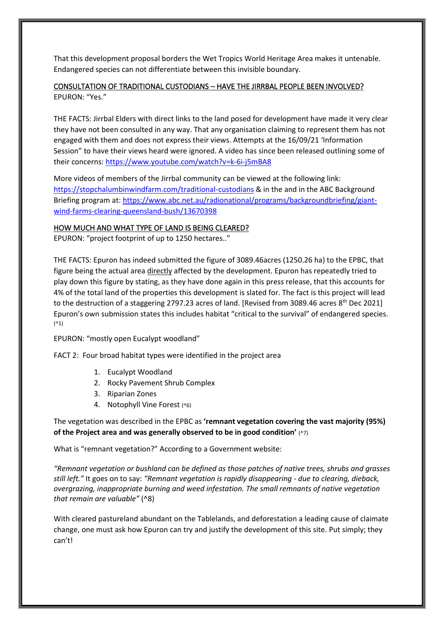That this development proposal borders the Wet Tropics World Heritage Area makes it untenable. Endangered species can not differentiate between this invisible boundary.

#### CONSULTATION OF TRADITIONAL CUSTODIANS – HAVE THE JIRRBAL PEOPLE BEEN INVOLVED? EPURON: "Yes."

THE FACTS: Jirrbal Elders with direct links to the land posed for development have made it very clear they have not been consulted in any way. That any organisation claiming to represent them has not engaged with them and does not express their views. Attempts at the 16/09/21 'Information Session" to have their views heard were ignored. A video has since been released outlining some of their concerns: <https://www.youtube.com/watch?v=k-6i-j5mBA8>

More videos of members of the Jirrbal community can be viewed at the following link: <https://stopchalumbinwindfarm.com/traditional-custodians> & in the and in the ABC Background Briefing program at[: https://www.abc.net.au/radionational/programs/backgroundbriefing/giant](https://www.abc.net.au/radionational/programs/backgroundbriefing/giant-wind-farms-clearing-queensland-bush/13670398)[wind-farms-clearing-queensland-bush/13670398](https://www.abc.net.au/radionational/programs/backgroundbriefing/giant-wind-farms-clearing-queensland-bush/13670398)

#### HOW MUCH AND WHAT TYPE OF LAND IS BEING CLEARED?

EPURON: "project footprint of up to 1250 hectares.."

THE FACTS: Epuron has indeed submitted the figure of 3089.46acres (1250.26 ha) to the EPBC, that figure being the actual area directly affected by the development. Epuron has repeatedly tried to play down this figure by stating, as they have done again in this press release, that this accounts for 4% of the total land of the properties this development is slated for. The fact is this project will lead to the destruction of a staggering 2797.23 acres of land. [Revised from 3089.46 acres 8<sup>th</sup> Dec 2021] Epuron's own submission states this includes habitat "critical to the survival" of endangered species.  $(^{\wedge}1)$ 

EPURON: "mostly open Eucalypt woodland"

FACT 2: Four broad habitat types were identified in the project area

- 1. Eucalypt Woodland
- 2. Rocky Pavement Shrub Complex
- 3. Riparian Zones
- 4. Notophyll Vine Forest (^6)

The vegetation was described in the EPBC as **'remnant vegetation covering the vast majority (95%) of the Project area and was generally observed to be in good condition'** (^7)

What is "remnant vegetation?" According to a Government website:

*"Remnant vegetation or bushland can be defined as those patches of native trees, shrubs and grasses still left."* It goes on to say: *"Remnant vegetation is rapidly disappearing - due to clearing, dieback, overgrazing, inappropriate burning and weed infestation. The small remnants of native vegetation that remain are valuable"* (^8)

With cleared pastureland abundant on the Tablelands, and deforestation a leading cause of claimate change, one must ask how Epuron can try and justify the development of this site. Put simply; they can't!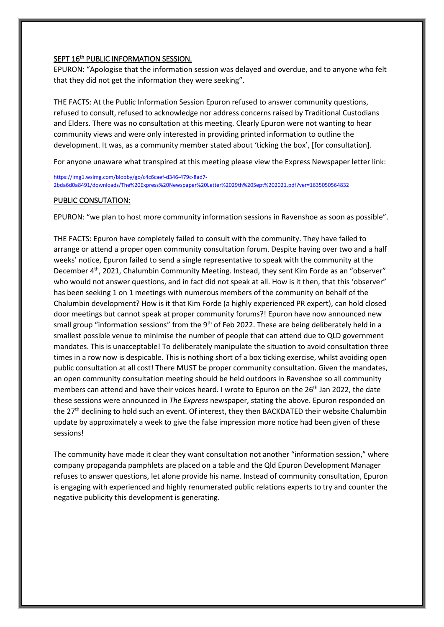#### SEPT 16<sup>th</sup> PUBLIC INFORMATION SESSION.

EPURON: "Apologise that the information session was delayed and overdue, and to anyone who felt that they did not get the information they were seeking".

THE FACTS: At the Public Information Session Epuron refused to answer community questions, refused to consult, refused to acknowledge nor address concerns raised by Traditional Custodians and Elders. There was no consultation at this meeting. Clearly Epuron were not wanting to hear community views and were only interested in providing printed information to outline the development. It was, as a community member stated about 'ticking the box', [for consultation].

For anyone unaware what transpired at this meeting please view the Express Newspaper letter link:

[https://img1.wsimg.com/blobby/go/c4c6caef-d346-479c-8ad7-](https://img1.wsimg.com/blobby/go/c4c6caef-d346-479c-8ad7-2bda6d0a8491/downloads/The%20Express%20Newspaper%20Letter%2029th%20Sept%202021.pdf?ver=1635050564832) [2bda6d0a8491/downloads/The%20Express%20Newspaper%20Letter%2029th%20Sept%202021.pdf?ver=1635050564832](https://img1.wsimg.com/blobby/go/c4c6caef-d346-479c-8ad7-2bda6d0a8491/downloads/The%20Express%20Newspaper%20Letter%2029th%20Sept%202021.pdf?ver=1635050564832)

#### PUBLIC CONSUTATION:

EPURON: "we plan to host more community information sessions in Ravenshoe as soon as possible".

THE FACTS: Epuron have completely failed to consult with the community. They have failed to arrange or attend a proper open community consultation forum. Despite having over two and a half weeks' notice, Epuron failed to send a single representative to speak with the community at the December 4<sup>th</sup>, 2021, Chalumbin Community Meeting. Instead, they sent Kim Forde as an "observer" who would not answer questions, and in fact did not speak at all. How is it then, that this 'observer" has been seeking 1 on 1 meetings with numerous members of the community on behalf of the Chalumbin development? How is it that Kim Forde (a highly experienced PR expert), can hold closed door meetings but cannot speak at proper community forums?! Epuron have now announced new small group "information sessions" from the 9<sup>th</sup> of Feb 2022. These are being deliberately held in a smallest possible venue to minimise the number of people that can attend due to QLD government mandates. This is unacceptable! To deliberately manipulate the situation to avoid consultation three times in a row now is despicable. This is nothing short of a box ticking exercise, whilst avoiding open public consultation at all cost! There MUST be proper community consultation. Given the mandates, an open community consultation meeting should be held outdoors in Ravenshoe so all community members can attend and have their voices heard. I wrote to Epuron on the 26<sup>th</sup> Jan 2022, the date these sessions were announced in *The Express* newspaper, stating the above. Epuron responded on the 27<sup>th</sup> declining to hold such an event. Of interest, they then BACKDATED their website Chalumbin update by approximately a week to give the false impression more notice had been given of these sessions!

The community have made it clear they want consultation not another "information session," where company propaganda pamphlets are placed on a table and the Qld Epuron Development Manager refuses to answer questions, let alone provide his name. Instead of community consultation, Epuron is engaging with experienced and highly renumerated public relations experts to try and counter the negative publicity this development is generating.